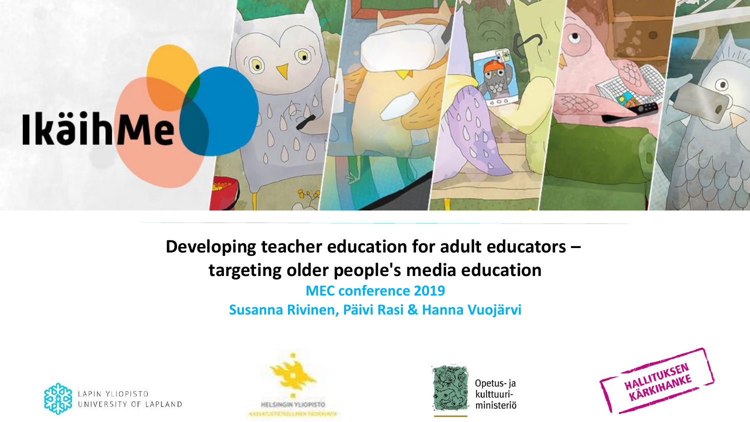

**Developing teacher education for adult educators – targeting older people's media education MEC conference 2019 Susanna Rivinen, Päivi Rasi & Hanna Vuojärvi**







Opetus- ja kulttuuriministeriö

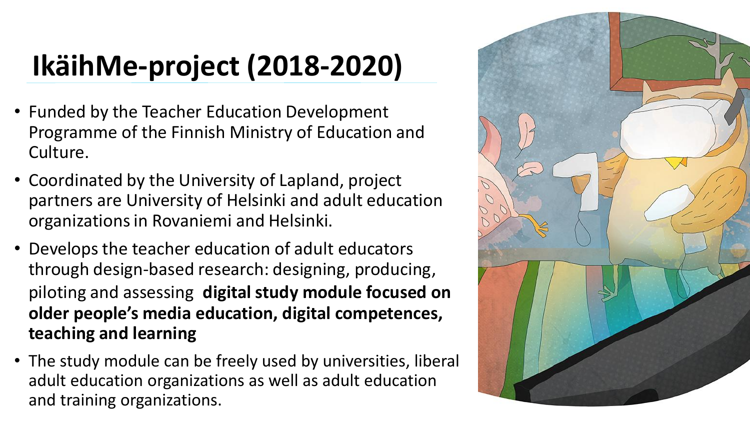## **IkäihMe-project (2018-2020)**

- Funded by the Teacher Education Development Programme of the Finnish Ministry of Education and Culture.
- Coordinated by the University of Lapland, project partners are University of Helsinki and adult education organizationsin Rovaniemi and Helsinki.
- Develops the teacher education of adult educators through design-based research: designing, producing, piloting and assessing **digital study module focused on older people's media education, digital competences, teaching and learning**
- The study module can be freely used by universities, liberal adult education organizations as well as adult education and training organizations.

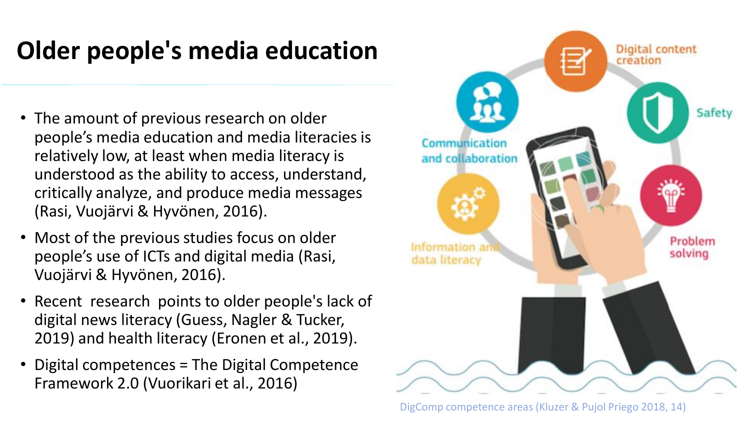### **Older people's media education**

- The amount of previous research on older people's media education and media literacies is relatively low, at least when media literacy is understood as the ability to access, understand, critically analyze, and produce media messages (Rasi, Vuojärvi & Hyvönen, 2016).
- Most of the previous studies focus on older people's use of ICTs and digital media (Rasi, Vuojärvi & Hyvönen, 2016).
- Recent research points to older people's lack of digital news literacy (Guess, Nagler & Tucker, 2019) and health literacy (Eronen et al., 2019).
- Digital competences = The Digital Competence Framework 2.0 (Vuorikari et al., 2016)



DigComp competence areas (Kluzer & Pujol Priego 2018, 14)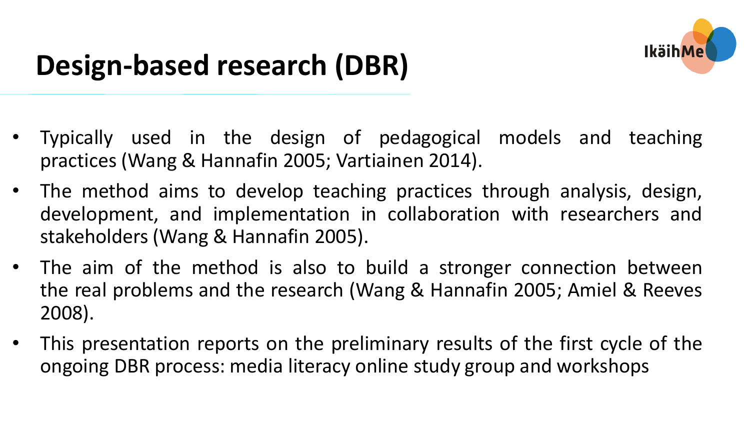

- Typically used in the design of pedagogical models and teaching practices (Wang & Hannafin 2005; Vartiainen 2014).
- The method aims to develop teaching practices through analysis, design, development, and implementation in collaboration with researchers and stakeholders (Wang & Hannafin 2005).
- The aim of the method is also to build a stronger connection between the real problems and the research (Wang & Hannafin 2005; Amiel & Reeves 2008).
- This presentation reports on the preliminary results of the first cycle of the ongoing DBR process: media literacy online study group and workshops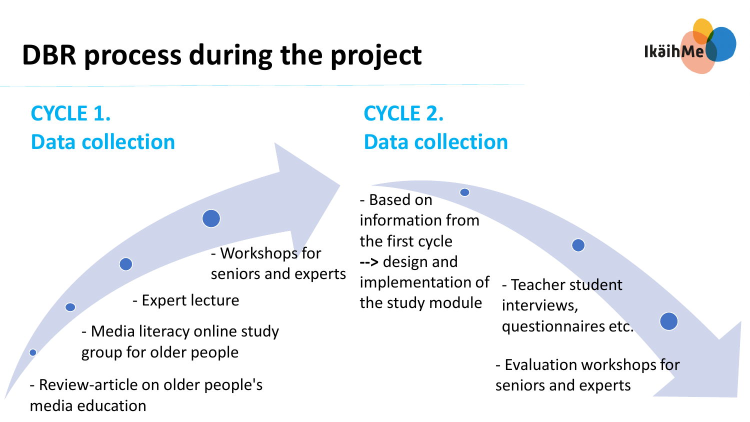## **DBR process during the project**



**CYCLE 1. Data collection**

> - Workshops for seniors and experts

- Expert lecture

- Media literacy online study group for older people

- Review-article on older people's media education

#### **CYCLE 2. Data collection**

- Based on information from the first cycle **-->** design and implementation of the study module - Teacher student interviews, questionnaires etc.

> - Evaluation workshops for seniors and experts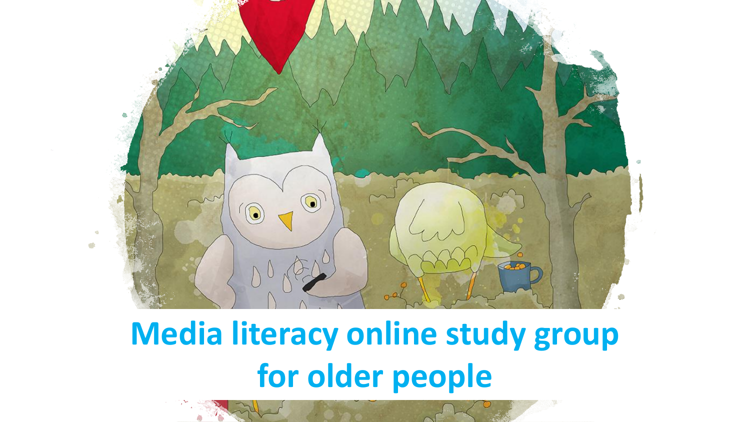

## **Media literacy online study group for older people**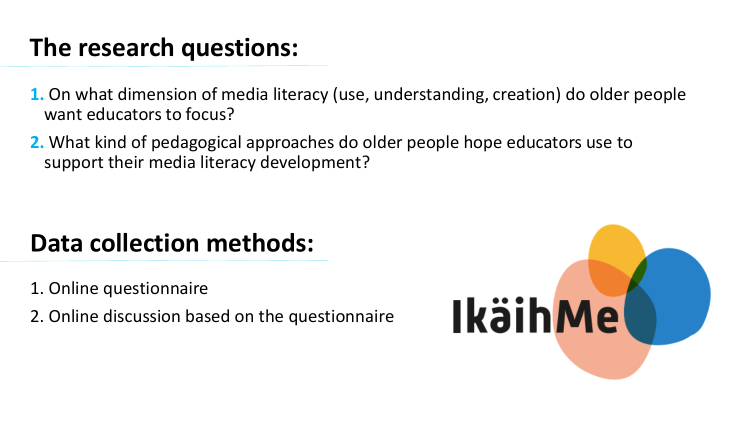### **The research questions:**

- **1.** On what dimension of media literacy (use, understanding, creation) do older people want educators to focus?
- **2.** What kind of pedagogical approaches do older people hope educators use to support their media literacy development?

### **Data collection methods:**

- 1. Online questionnaire
- 2. Online discussion based on the questionnaire

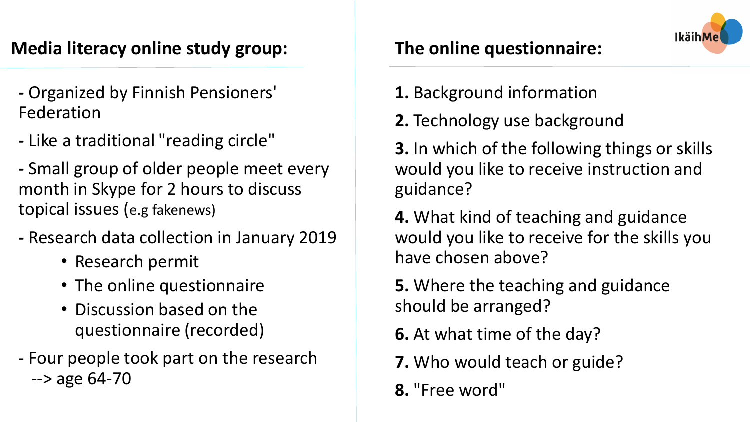#### **Media literacy online study group:**

- **-** Organized by Finnish Pensioners' Federation
- **-** Like a traditional "reading circle"
- **-** Small group of older people meet every month in Skype for 2 hours to discuss topical issues (e.g fakenews)
- **-** Research data collection in January 2019
	- Research permit
	- The online questionnaire
	- Discussion based on the questionnaire (recorded)
- Four people took part on the research --> age 64-70
- **1.** Background information
- **2.** Technology use background
- **3.** In which of the following things or skills would you like to receive instruction and guidance?
- **4.** What kind of teaching and guidance would you like to receive for the skills you have chosen above?
- **5.** Where the teaching and guidance should be arranged?
- **6.** At what time of the day?
- **7.** Who would teach or guide?
- **8.** "Free word"

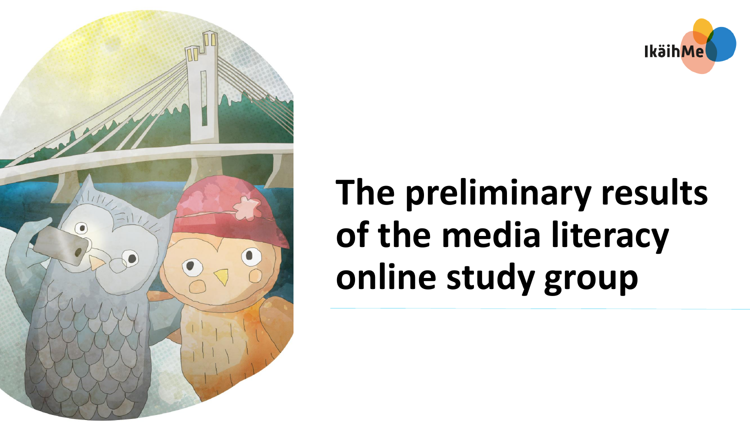



# **The preliminary results of the media literacy online study group**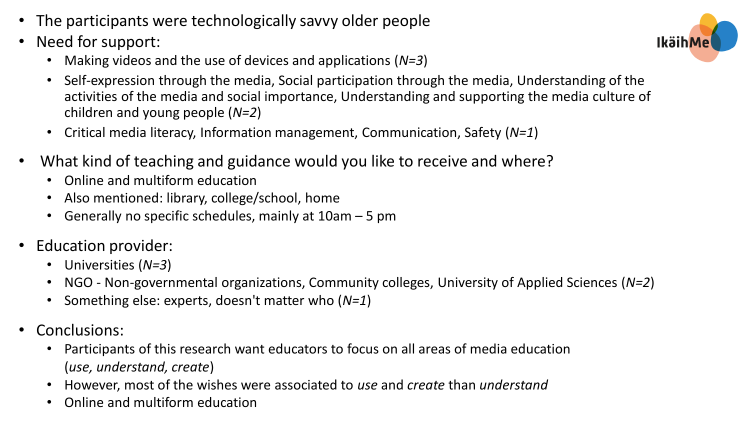- The participants were technologically savvy older people
- Need for support:
	- Making videos and the use of devices and applications (*N=3*)
	- Self-expression through the media, Social participation through the media, Understanding of the activities of the media and social importance, Understanding and supporting the media culture of children and young people (*N=2*)
	- Critical media literacy, Information management, Communication, Safety (*N=1*)
- What kind of teaching and guidance would you like to receive and where?
	- Online and multiform education
	- Also mentioned: library, college/school, home
	- Generally no specific schedules, mainly at 10am 5 pm
- Education provider:
	- Universities (*N=3*)
	- NGO Non-governmental organizations, Community colleges, University of Applied Sciences (*N=2*)
	- Something else: experts, doesn't matter who (*N=1*)
- Conclusions:
	- Participants of this research want educators to focus on all areas of media education (*use, understand, create*)
	- However, most of the wishes were associated to *use* and *create* than *understand*
	- Online and multiform education

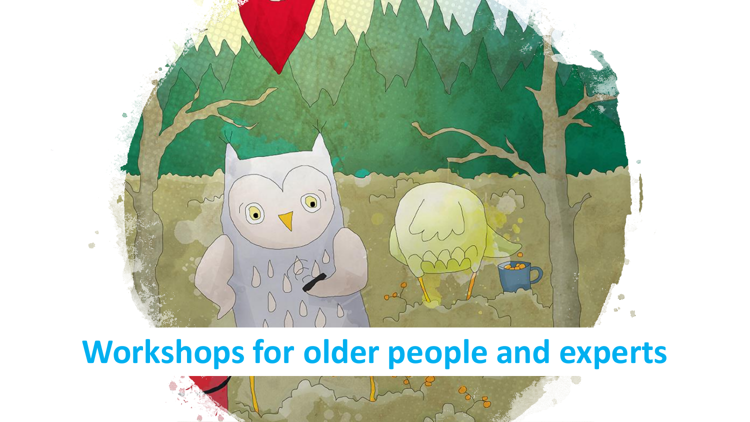

## **Workshops for older people and experts**

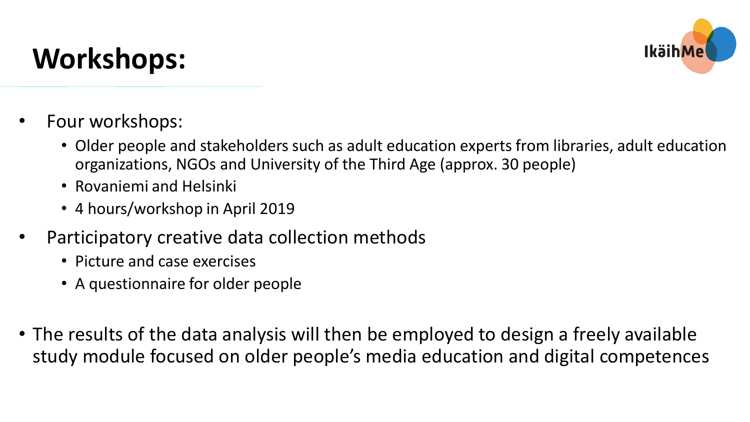## **Workshops:**



- Four workshops:
	- Older people and stakeholders such as adult education experts from libraries, adult education organizations, NGOs and University of the Third Age (approx. 30 people)
	- Rovaniemi and Helsinki
	- 4 hours/workshop in April 2019
- Participatory creative data collection methods
	- Picture and case exercises
	- A questionnaire for older people
- The results of the data analysis will then be employed to design a freely available study module focused on older people's media education and digital competences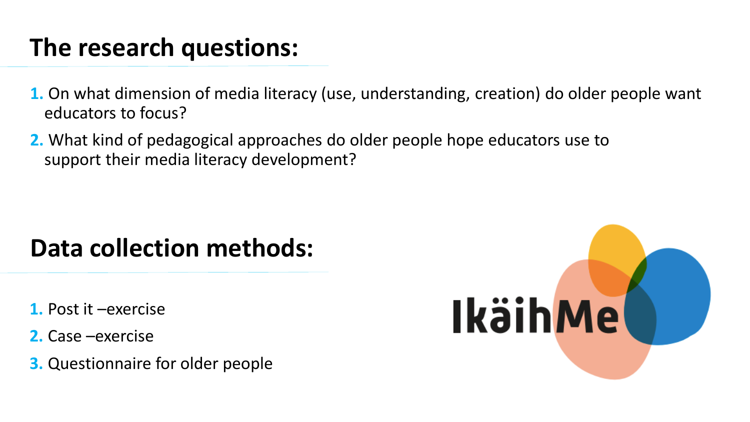### **The research questions:**

- **1.** On what dimension of media literacy (use, understanding, creation) do older people want educators to focus?
- **2.** What kind of pedagogical approaches do older people hope educators use to support their media literacy development?

### **Data collection methods:**

- **1.** Post it –exercise
- **2.** Case –exercise
- **3.** Questionnaire for older people

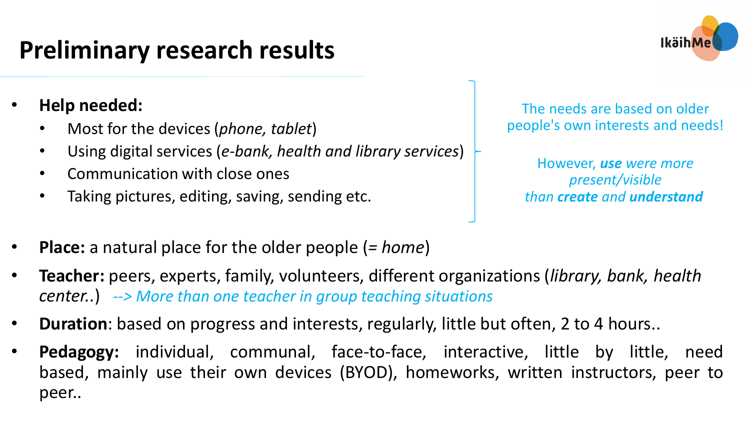### **Preliminary research results**

- **Help needed:**
	- Most for the devices (*phone, tablet*)
	- Using digital services (*e-bank, health and library services*)
	- Communication with close ones
	- Taking pictures, editing, saving, sending etc.

The needs are based on older people's own interests and needs!

However, *use were more present/visible than create and understand*

- **Place:** a natural place for the older people (*= home*)
- **Teacher:** peers, experts, family, volunteers, different organizations (*library, bank, health center..*) *--> More than one teacher in group teaching situations*
- **Duration**: based on progress and interests, regularly, little but often, 2 to 4 hours..
- Pedagogy: individual, communal, face-to-face, interactive, little by little, need based, mainly use their own devices (BYOD), homeworks, written instructors, peer to peer..

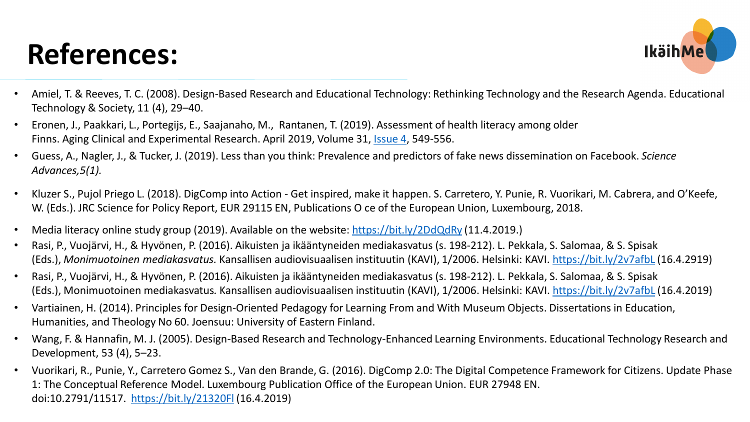## **References:**



- Amiel, T. & Reeves, T. C. (2008). Design-Based Research and Educational Technology: Rethinking Technology and the Research Agenda. Educational Technology & Society, 11 (4), 29–40.
- Eronen, J., Paakkari, L., Portegijs, E., Saajanaho, M., Rantanen, T. (2019). Assessment of health literacy among older Finns. Aging Clinical and Experimental Research. April 2019, Volume 31, [Issue](https://link.springer.com/journal/40520/31/4/page/1) 4, 549-556.
- Guess, A., Nagler, J., & Tucker, J. (2019). Less than you think: Prevalence and predictors of fake news dissemination on Facebook. *Science Advances,5(1).*
- Kluzer S., Pujol Priego L. (2018). DigComp into Action Get inspired, make it happen. S. Carretero, Y. Punie, R. Vuorikari, M. Cabrera, and O'Keefe, W. (Eds.). JRC Science for Policy Report, EUR 29115 EN, Publications O ce of the European Union, Luxembourg, 2018.
- Media literacy online study group (2019). Available on the website: <https://bit.ly/2DdQdRy> (11.4.2019.)
- Rasi, P., Vuojärvi, H., & Hyvönen, P. (2016). Aikuisten ja ikääntyneiden mediakasvatus (s. 198-212). L. Pekkala, S. Salomaa, & S. Spisak (Eds.), *Monimuotoinen mediakasvatus.* Kansallisen audiovisuaalisen instituutin (KAVI), 1/2006. Helsinki: KAVI. <https://bit.ly/2v7afbL> (16.4.2919)
- Rasi, P., Vuojärvi, H., & Hyvönen, P. (2016). Aikuisten ja ikääntyneiden mediakasvatus (s. 198-212). L. Pekkala, S. Salomaa, & S. Spisak (Eds.), Monimuotoinen mediakasvatus*.* Kansallisen audiovisuaalisen instituutin (KAVI), 1/2006. Helsinki: KAVI. <https://bit.ly/2v7afbL> (16.4.2019)
- Vartiainen, H. (2014). Principles for Design-Oriented Pedagogy for Learning From and With Museum Objects. Dissertations in Education, Humanities, and Theology No 60. Joensuu: University of Eastern Finland.
- Wang, F. & Hannafin, M. J. (2005). Design-Based Research and Technology-Enhanced Learning Environments. Educational Technology Research and Development, 53 (4), 5–23.
- Vuorikari, R., Punie, Y., Carretero Gomez S., Van den Brande, G. (2016). DigComp 2.0: The Digital Competence Framework for Citizens. Update Phase 1: The Conceptual Reference Model. Luxembourg Publication Office of the European Union. EUR 27948 EN. doi:10.2791/11517. <https://bit.ly/21320Fl> (16.4.2019)